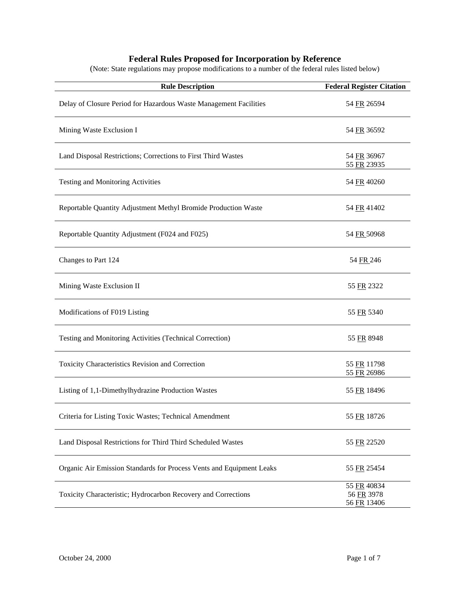## **Federal Rules Proposed for Incorporation by Reference**

(Note: State regulations may propose modifications to a number of the federal rules listed below)

| <b>Rule Description</b>                                              | <b>Federal Register Citation</b>         |
|----------------------------------------------------------------------|------------------------------------------|
| Delay of Closure Period for Hazardous Waste Management Facilities    | 54 FR 26594                              |
| Mining Waste Exclusion I                                             | 54 FR 36592                              |
| Land Disposal Restrictions; Corrections to First Third Wastes        | 54 FR 36967<br>55 FR 23935               |
| Testing and Monitoring Activities                                    | 54 FR 40260                              |
| Reportable Quantity Adjustment Methyl Bromide Production Waste       | 54 FR 41402                              |
| Reportable Quantity Adjustment (F024 and F025)                       | 54 FR 50968                              |
| Changes to Part 124                                                  | 54 FR 246                                |
| Mining Waste Exclusion II                                            | 55 FR 2322                               |
| Modifications of F019 Listing                                        | 55 FR 5340                               |
| Testing and Monitoring Activities (Technical Correction)             | 55 FR 8948                               |
| Toxicity Characteristics Revision and Correction                     | 55 FR 11798<br>55 FR 26986               |
| Listing of 1,1-Dimethylhydrazine Production Wastes                   | 55 FR 18496                              |
| Criteria for Listing Toxic Wastes; Technical Amendment               | 55 FR 18726                              |
| Land Disposal Restrictions for Third Third Scheduled Wastes          | 55 FR 22520                              |
| Organic Air Emission Standards for Process Vents and Equipment Leaks | 55 FR 25454                              |
| Toxicity Characteristic; Hydrocarbon Recovery and Corrections        | 55 FR 40834<br>56 FR 3978<br>56 FR 13406 |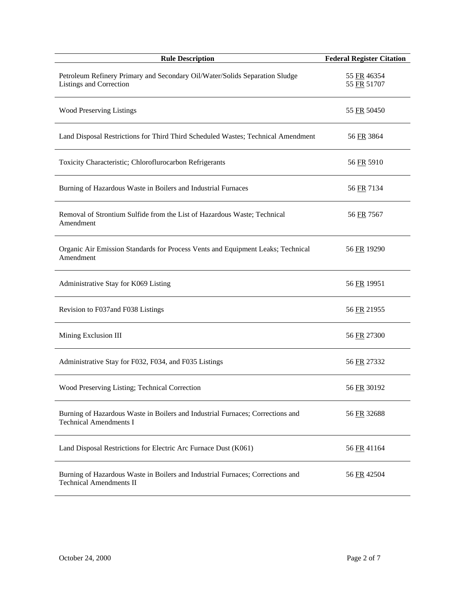| <b>Rule Description</b>                                                                                          | <b>Federal Register Citation</b> |
|------------------------------------------------------------------------------------------------------------------|----------------------------------|
| Petroleum Refinery Primary and Secondary Oil/Water/Solids Separation Sludge<br>Listings and Correction           | 55 FR 46354<br>55 FR 51707       |
| <b>Wood Preserving Listings</b>                                                                                  | 55 FR 50450                      |
| Land Disposal Restrictions for Third Third Scheduled Wastes; Technical Amendment                                 | 56 FR 3864                       |
| Toxicity Characteristic; Chloroflurocarbon Refrigerants                                                          | 56 FR 5910                       |
| Burning of Hazardous Waste in Boilers and Industrial Furnaces                                                    | 56 FR 7134                       |
| Removal of Strontium Sulfide from the List of Hazardous Waste; Technical<br>Amendment                            | 56 FR 7567                       |
| Organic Air Emission Standards for Process Vents and Equipment Leaks; Technical<br>Amendment                     | 56 FR 19290                      |
| Administrative Stay for K069 Listing                                                                             | 56 FR 19951                      |
| Revision to F037 and F038 Listings                                                                               | 56 FR 21955                      |
| Mining Exclusion III                                                                                             | 56 FR 27300                      |
| Administrative Stay for F032, F034, and F035 Listings                                                            | 56 FR 27332                      |
| Wood Preserving Listing; Technical Correction                                                                    | 56 FR 30192                      |
| Burning of Hazardous Waste in Boilers and Industrial Furnaces; Corrections and<br><b>Technical Amendments I</b>  | 56 FR 32688                      |
| Land Disposal Restrictions for Electric Arc Furnace Dust (K061)                                                  | 56 FR 41164                      |
| Burning of Hazardous Waste in Boilers and Industrial Furnaces; Corrections and<br><b>Technical Amendments II</b> | 56 FR 42504                      |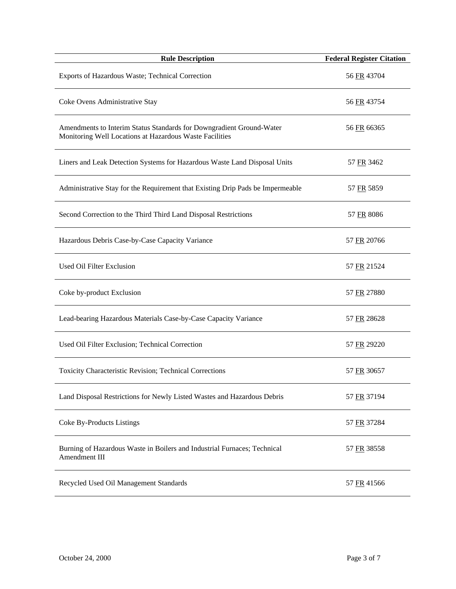| <b>Rule Description</b>                                                                                                         | <b>Federal Register Citation</b> |
|---------------------------------------------------------------------------------------------------------------------------------|----------------------------------|
| Exports of Hazardous Waste; Technical Correction                                                                                | 56 FR 43704                      |
| Coke Ovens Administrative Stay                                                                                                  | 56 FR 43754                      |
| Amendments to Interim Status Standards for Downgradient Ground-Water<br>Monitoring Well Locations at Hazardous Waste Facilities | 56 FR 66365                      |
| Liners and Leak Detection Systems for Hazardous Waste Land Disposal Units                                                       | 57 FR 3462                       |
| Administrative Stay for the Requirement that Existing Drip Pads be Impermeable                                                  | 57 FR 5859                       |
| Second Correction to the Third Third Land Disposal Restrictions                                                                 | 57 FR 8086                       |
| Hazardous Debris Case-by-Case Capacity Variance                                                                                 | 57 FR 20766                      |
| Used Oil Filter Exclusion                                                                                                       | 57 FR 21524                      |
| Coke by-product Exclusion                                                                                                       | 57 FR 27880                      |
| Lead-bearing Hazardous Materials Case-by-Case Capacity Variance                                                                 | 57 FR 28628                      |
| Used Oil Filter Exclusion; Technical Correction                                                                                 | 57 FR 29220                      |
| Toxicity Characteristic Revision; Technical Corrections                                                                         | 57 FR 30657                      |
| Land Disposal Restrictions for Newly Listed Wastes and Hazardous Debris                                                         | 57 FR 37194                      |
| Coke By-Products Listings                                                                                                       | 57 FR 37284                      |
| Burning of Hazardous Waste in Boilers and Industrial Furnaces; Technical<br>Amendment III                                       | 57 FR 38558                      |
| Recycled Used Oil Management Standards                                                                                          | 57 FR 41566                      |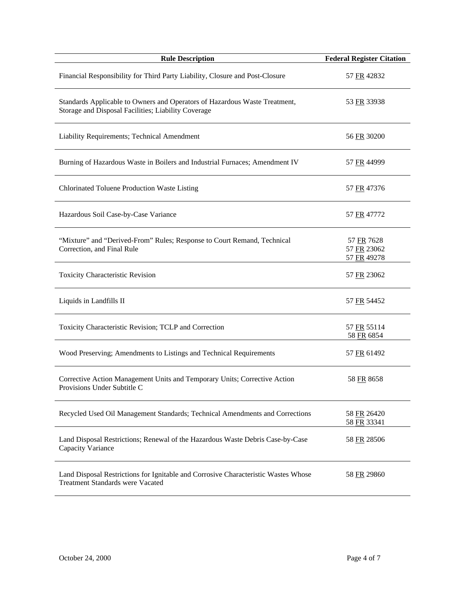| <b>Rule Description</b>                                                                                                           | <b>Federal Register Citation</b>         |
|-----------------------------------------------------------------------------------------------------------------------------------|------------------------------------------|
| Financial Responsibility for Third Party Liability, Closure and Post-Closure                                                      | 57 FR 42832                              |
| Standards Applicable to Owners and Operators of Hazardous Waste Treatment,<br>Storage and Disposal Facilities; Liability Coverage | 53 FR 33938                              |
| Liability Requirements; Technical Amendment                                                                                       | 56 FR 30200                              |
| Burning of Hazardous Waste in Boilers and Industrial Furnaces; Amendment IV                                                       | 57 FR 44999                              |
| Chlorinated Toluene Production Waste Listing                                                                                      | 57 FR 47376                              |
| Hazardous Soil Case-by-Case Variance                                                                                              | 57 FR 47772                              |
| "Mixture" and "Derived-From" Rules; Response to Court Remand, Technical<br>Correction, and Final Rule                             | 57 FR 7628<br>57 FR 23062<br>57 FR 49278 |
| Toxicity Characteristic Revision                                                                                                  | 57 FR 23062                              |
| Liquids in Landfills II                                                                                                           | 57 FR 54452                              |
| Toxicity Characteristic Revision; TCLP and Correction                                                                             | 57 FR 55114<br>58 FR 6854                |
| Wood Preserving; Amendments to Listings and Technical Requirements                                                                | 57 FR 61492                              |
| Corrective Action Management Units and Temporary Units; Corrective Action<br>Provisions Under Subtitle C                          | 58 FR 8658                               |
| Recycled Used Oil Management Standards; Technical Amendments and Corrections                                                      | 58 FR 26420<br>58 FR 33341               |
| Land Disposal Restrictions; Renewal of the Hazardous Waste Debris Case-by-Case<br>Capacity Variance                               | 58 FR 28506                              |
| Land Disposal Restrictions for Ignitable and Corrosive Characteristic Wastes Whose<br>Treatment Standards were Vacated            | 58 FR 29860                              |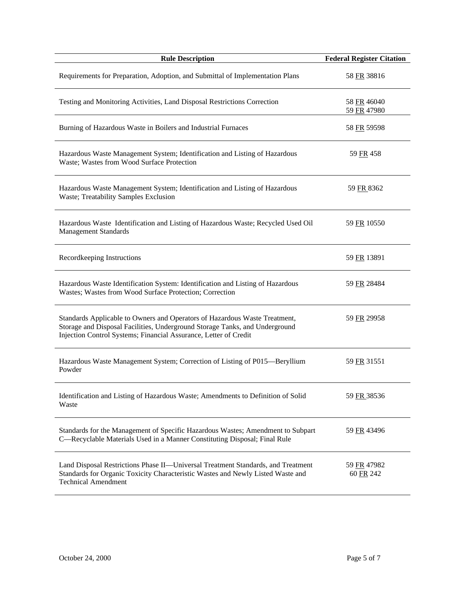| <b>Rule Description</b>                                                                                                                                                                                                       | <b>Federal Register Citation</b> |
|-------------------------------------------------------------------------------------------------------------------------------------------------------------------------------------------------------------------------------|----------------------------------|
| Requirements for Preparation, Adoption, and Submittal of Implementation Plans                                                                                                                                                 | 58 FR 38816                      |
| Testing and Monitoring Activities, Land Disposal Restrictions Correction                                                                                                                                                      | 58 FR 46040<br>59 FR 47980       |
| Burning of Hazardous Waste in Boilers and Industrial Furnaces                                                                                                                                                                 | 58 FR 59598                      |
| Hazardous Waste Management System; Identification and Listing of Hazardous<br>Waste; Wastes from Wood Surface Protection                                                                                                      | 59 FR 458                        |
| Hazardous Waste Management System; Identification and Listing of Hazardous<br>Waste; Treatability Samples Exclusion                                                                                                           | 59 FR 8362                       |
| Hazardous Waste Identification and Listing of Hazardous Waste; Recycled Used Oil<br><b>Management Standards</b>                                                                                                               | 59 FR 10550                      |
| Recordkeeping Instructions                                                                                                                                                                                                    | 59 FR 13891                      |
| Hazardous Waste Identification System: Identification and Listing of Hazardous<br>Wastes; Wastes from Wood Surface Protection; Correction                                                                                     | 59 FR 28484                      |
| Standards Applicable to Owners and Operators of Hazardous Waste Treatment,<br>Storage and Disposal Facilities, Underground Storage Tanks, and Underground<br>Injection Control Systems; Financial Assurance, Letter of Credit | 59 FR 29958                      |
| Hazardous Waste Management System; Correction of Listing of P015-Beryllium<br>Powder                                                                                                                                          | 59 FR 31551                      |
| Identification and Listing of Hazardous Waste; Amendments to Definition of Solid<br>Waste                                                                                                                                     | 59 FR 38536                      |
| Standards for the Management of Specific Hazardous Wastes; Amendment to Subpart<br>C—Recyclable Materials Used in a Manner Constituting Disposal; Final Rule                                                                  | 59 FR 43496                      |
| Land Disposal Restrictions Phase II—Universal Treatment Standards, and Treatment<br>Standards for Organic Toxicity Characteristic Wastes and Newly Listed Waste and<br><b>Technical Amendment</b>                             | 59 FR 47982<br>60 FR 242         |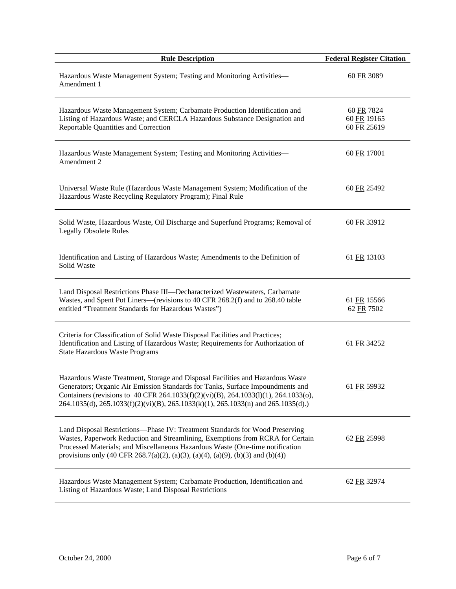| <b>Rule Description</b>                                                                                                                                                                                                                                                                                                                      | <b>Federal Register Citation</b>         |
|----------------------------------------------------------------------------------------------------------------------------------------------------------------------------------------------------------------------------------------------------------------------------------------------------------------------------------------------|------------------------------------------|
| Hazardous Waste Management System; Testing and Monitoring Activities-<br>Amendment 1                                                                                                                                                                                                                                                         | 60 FR 3089                               |
| Hazardous Waste Management System; Carbamate Production Identification and<br>Listing of Hazardous Waste; and CERCLA Hazardous Substance Designation and<br>Reportable Quantities and Correction                                                                                                                                             | 60 FR 7824<br>60 FR 19165<br>60 FR 25619 |
| Hazardous Waste Management System; Testing and Monitoring Activities-<br>Amendment 2                                                                                                                                                                                                                                                         | 60 FR 17001                              |
| Universal Waste Rule (Hazardous Waste Management System; Modification of the<br>Hazardous Waste Recycling Regulatory Program); Final Rule                                                                                                                                                                                                    | 60 FR 25492                              |
| Solid Waste, Hazardous Waste, Oil Discharge and Superfund Programs; Removal of<br><b>Legally Obsolete Rules</b>                                                                                                                                                                                                                              | 60 FR 33912                              |
| Identification and Listing of Hazardous Waste; Amendments to the Definition of<br>Solid Waste                                                                                                                                                                                                                                                | 61 FR 13103                              |
| Land Disposal Restrictions Phase III-Decharacterized Wastewaters, Carbamate<br>Wastes, and Spent Pot Liners—(revisions to 40 CFR 268.2(f) and to 268.40 table<br>entitled "Treatment Standards for Hazardous Wastes")                                                                                                                        | 61 FR 15566<br>62 FR 7502                |
| Criteria for Classification of Solid Waste Disposal Facilities and Practices;<br>Identification and Listing of Hazardous Waste; Requirements for Authorization of<br><b>State Hazardous Waste Programs</b>                                                                                                                                   | 61 FR 34252                              |
| Hazardous Waste Treatment, Storage and Disposal Facilities and Hazardous Waste<br>Generators; Organic Air Emission Standards for Tanks, Surface Impoundments and<br>Containers (revisions to 40 CFR 264.1033(f)(2)(vi)(B), 264.1033(l)(1), 264.1033(o),<br>264.1035(d), 265.1033(f)(2)(vi)(B), 265.1033(k)(1), 265.1033(n) and 265.1035(d).) | 61 FR 59932                              |
| Land Disposal Restrictions-Phase IV: Treatment Standards for Wood Preserving<br>Wastes, Paperwork Reduction and Streamlining, Exemptions from RCRA for Certain<br>Processed Materials; and Miscellaneous Hazardous Waste (One-time notification<br>provisions only (40 CFR 268.7(a)(2), (a)(3), (a)(4), (a)(9), (b)(3) and (b)(4))           | 62 FR 25998                              |
| Hazardous Waste Management System; Carbamate Production, Identification and<br>Listing of Hazardous Waste; Land Disposal Restrictions                                                                                                                                                                                                        | 62 FR 32974                              |